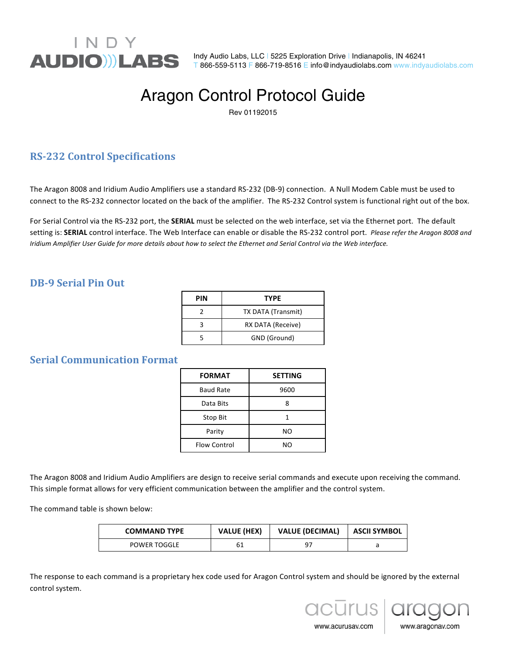

Indy Audio Labs, LLC | 5225 Exploration Drive | Indianapolis, IN 46241 T 866-559-5113 F 866-719-8516 E info@indyaudiolabs.com www.indyaudiolabs.com

# Aragon Control Protocol Guide

Rev 01192015

# **RS-232 Control Specifications**

The Aragon 8008 and Iridium Audio Amplifiers use a standard RS-232 (DB-9) connection. A Null Modem Cable must be used to connect to the RS-232 connector located on the back of the amplifier. The RS-232 Control system is functional right out of the box.

For Serial Control via the RS-232 port, the SERIAL must be selected on the web interface, set via the Ethernet port. The default setting is: SERIAL control interface. The Web Interface can enable or disable the RS-232 control port. *Please refer the Aragon 8008 and Iridium* Amplifier User Guide for more details about how to select the Ethernet and Serial Control via the Web interface.

#### **DB-9 Serial Pin Out**

| PIN | <b>TYPE</b>        |
|-----|--------------------|
|     | TX DATA (Transmit) |
|     | RX DATA (Receive)  |
|     | GND (Ground)       |

#### **Serial Communication Format**

| <b>FORMAT</b>    | <b>SETTING</b> |
|------------------|----------------|
| <b>Baud Rate</b> | 9600           |
| Data Bits        | 8              |
| Stop Bit         |                |
| Parity           | NO             |
| Flow Control     | NΟ             |

The Aragon 8008 and Iridium Audio Amplifiers are design to receive serial commands and execute upon receiving the command. This simple format allows for very efficient communication between the amplifier and the control system.

The command table is shown below:

| <b>COMMAND TYPE</b> | <b>VALUE (HEX)</b> | <b>VALUE (DECIMAL)</b> | <b>ASCII SYMBOL</b> |
|---------------------|--------------------|------------------------|---------------------|
| <b>POWER TOGGLE</b> |                    | a-                     |                     |

The response to each command is a proprietary hex code used for Aragon Control system and should be ignored by the external control system.



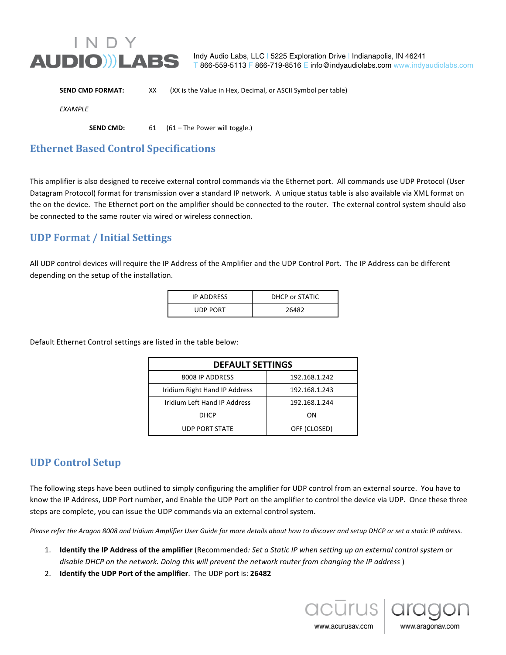

Indy Audio Labs, LLC | 5225 Exploration Drive | Indianapolis, IN 46241 T 866-559-5113 F 866-719-8516 E info@indyaudiolabs.com www.indyaudiolabs.com

| <b>SEND CMD FORMAT:</b> |  | (XX is the Value in Hex, Decimal, or ASCII Symbol per table) |
|-------------------------|--|--------------------------------------------------------------|
|-------------------------|--|--------------------------------------------------------------|

*EXAMPLE* 

**SEND CMD:** 61 (61 – The Power will toggle.)

### **Ethernet Based Control Specifications**

This amplifier is also designed to receive external control commands via the Ethernet port. All commands use UDP Protocol (User Datagram Protocol) format for transmission over a standard IP network. A unique status table is also available via XML format on the on the device. The Ethernet port on the amplifier should be connected to the router. The external control system should also be connected to the same router via wired or wireless connection.

# **UDP Format / Initial Settings**

All UDP control devices will require the IP Address of the Amplifier and the UDP Control Port. The IP Address can be different depending on the setup of the installation.

| <b>IP ADDRESS</b> | DHCP or STATIC |
|-------------------|----------------|
| <b>UDP PORT</b>   | 26482          |

Default Ethernet Control settings are listed in the table below:

| <b>DEFAULT SETTINGS</b>       |               |  |
|-------------------------------|---------------|--|
| 8008 IP ADDRESS               | 192.168.1.242 |  |
| Iridium Right Hand IP Address | 192.168.1.243 |  |
| Iridium Left Hand IP Address  | 192.168.1.244 |  |
| DHCP                          | OΝ            |  |
| <b>UDP PORT STATE</b>         | OFF (CLOSED)  |  |

### **UDP Control Setup**

The following steps have been outlined to simply configuring the amplifier for UDP control from an external source. You have to know the IP Address, UDP Port number, and Enable the UDP Port on the amplifier to control the device via UDP. Once these three steps are complete, you can issue the UDP commands via an external control system.

Please refer the Aragon 8008 and Iridium Amplifier User Guide for more details about how to discover and setup DHCP or set a static IP address.

- 1. **Identify the IP Address of the amplifier** (Recommended: Set a Static IP when setting up an external control system or disable DHCP on the network. Doing this will prevent the network router from changing the IP address )
- 2. **Identify the UDP Port of the amplifier**. The UDP port is: 26482



www.acurusav.com